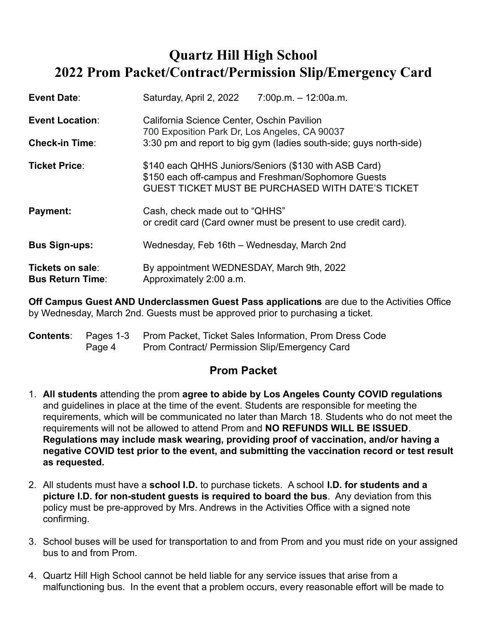# **Quartz Hill High School 2022 Prom Packet/Contract/Permission Slip/Emergency Card**

| Event Date:                                 | Saturday, April 2, 2022                                                                                                                                                  | $7:00p.m. - 12:00a.m.$                                             |  |  |  |  |
|---------------------------------------------|--------------------------------------------------------------------------------------------------------------------------------------------------------------------------|--------------------------------------------------------------------|--|--|--|--|
| <b>Event Location:</b>                      | California Science Center, Oschin Pavilion<br>700 Exposition Park Dr, Los Angeles, CA 90037                                                                              |                                                                    |  |  |  |  |
| <b>Check-in Time:</b>                       |                                                                                                                                                                          | 3:30 pm and report to big gym (ladies south-side; guys north-side) |  |  |  |  |
| Ticket Price:                               | \$140 each QHHS Juniors/Seniors (\$130 with ASB Card)<br>\$150 each off-campus and Freshman/Sophomore Guests<br><b>GUEST TICKET MUST BE PURCHASED WITH DATE'S TICKET</b> |                                                                    |  |  |  |  |
| Payment:                                    | Cash, check made out to "QHHS"                                                                                                                                           | or credit card (Card owner must be present to use credit card).    |  |  |  |  |
| <b>Bus Sign-ups:</b>                        | Wednesday, Feb 16th - Wednesday, March 2nd                                                                                                                               |                                                                    |  |  |  |  |
| Tickets on sale:<br><b>Bus Return Time:</b> | By appointment WEDNESDAY, March 9th, 2022<br>Approximately 2:00 a.m.                                                                                                     |                                                                    |  |  |  |  |

**Off Campus Guest AND Underclassmen Guest Pass applications** are due to the Activities Office by Wednesday, March 2nd. Guests must be approved prior to purchasing a ticket.

| <b>Contents:</b> Pages 1-3 | Prom Packet, Ticket Sales Information, Prom Dress Code |
|----------------------------|--------------------------------------------------------|
| Page 4                     | <b>Prom Contract/ Permission Slip/Emergency Card</b>   |

## **Prom Packet**

- 1. **All students** attending the prom **agree to abide by Los Angeles County COVID regulations** and guidelines in place at the time of the event. Students are responsible for meeting the requirements, which will be communicated no later than March 18. Students who do not meet the requirements will not be allowed to attend Prom and **NO REFUNDS WILL BE ISSUED**. **Regulations may include mask wearing, providing proof of vaccination, and/or having a negative COVID test prior to the event, and submitting the vaccination record or test result as requested.**
- 2. All students must have a **school I.D.** to purchase tickets. A school **I.D. for students and a picture I.D. for non-student guests is required to board the bus**. Any deviation from this policy must be pre-approved by Mrs. Andrews in the Activities Office with a signed note confirming.
- 3. School buses will be used for transportation to and from Prom and you must ride on your assigned bus to and from Prom.
- 4. Quartz Hill High School cannot be held liable for any service issues that arise from a malfunctioning bus. In the event that a problem occurs, every reasonable effort will be made to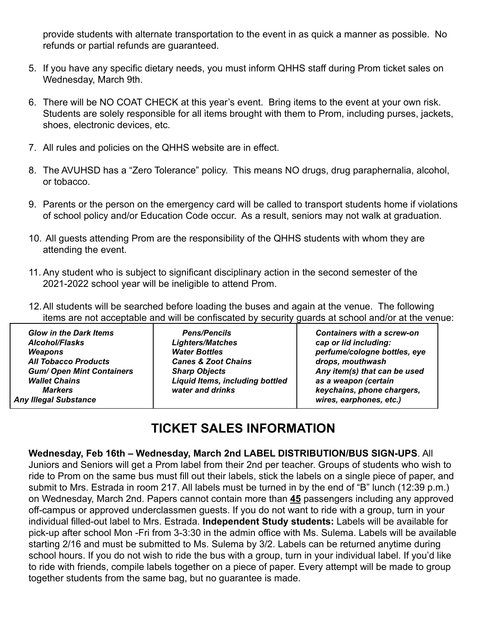provide students with alternate transportation to the event in as quick a manner as possible. No refunds or partial refunds are guaranteed.

- 5. If you have any specific dietary needs, you must inform QHHS staff during Prom ticket sales on Wednesday, March 9th.
- 6. There will be NO COAT CHECK at this year's event. Bring items to the event at your own risk. Students are solely responsible for all items brought with them to Prom, including purses, jackets, shoes, electronic devices, etc.
- 7. All rules and policies on the QHHS website are in effect.
- 8. The AVUHSD has a "Zero Tolerance" policy. This means NO drugs, drug paraphernalia, alcohol, or tobacco.
- 9. Parents or the person on the emergency card will be called to transport students home if violations of school policy and/or Education Code occur. As a result, seniors may not walk at graduation.
- 10. All guests attending Prom are the responsibility of the QHHS students with whom they are attending the event.
- 11. Any student who is subject to significant disciplinary action in the second semester of the 2021-2022 school year will be ineligible to attend Prom.
- 12.All students will be searched before loading the buses and again at the venue. The following items are not acceptable and will be confiscated by security guards at school and/or at the venue:

*Glow in the Dark Items Alcohol/Flasks Weapons All Tobacco Products Gum/ Open Mint Containers Wallet Chains Markers Any Illegal Substance*

*Pens/Pencils Lighters/Matches Water Bottles Canes & Zoot Chains Sharp Objects Liquid Items, including bottled water and drinks*

*Containers with a screw-on cap or lid including: perfume/cologne bottles, eye drops, mouthwash Any item(s) that can be used as a weapon (certain keychains, phone chargers, wires, earphones, etc.)*

# **TICKET SALES INFORMATION**

#### **Wednesday, Feb 16th – Wednesday, March 2nd LABEL DISTRIBUTION/BUS SIGN-UPS**. All Juniors and Seniors will get a Prom label from their 2nd per teacher. Groups of students who wish to ride to Prom on the same bus must fill out their labels, stick the labels on a single piece of paper, and submit to Mrs. Estrada in room 217. All labels must be turned in by the end of "B" lunch (12:39 p.m.) on Wednesday, March 2nd. Papers cannot contain more than **45** passengers including any approved off-campus or approved underclassmen guests. If you do not want to ride with a group, turn in your individual filled-out label to Mrs. Estrada. **Independent Study students:** Labels will be available for pick-up after school Mon -Fri from 3-3:30 in the admin office with Ms. Sulema. Labels will be available starting 2/16 and must be submitted to Ms. Sulema by 3/2. Labels can be returned anytime during school hours. If you do not wish to ride the bus with a group, turn in your individual label. If you'd like to ride with friends, compile labels together on a piece of paper. Every attempt will be made to group together students from the same bag, but no guarantee is made.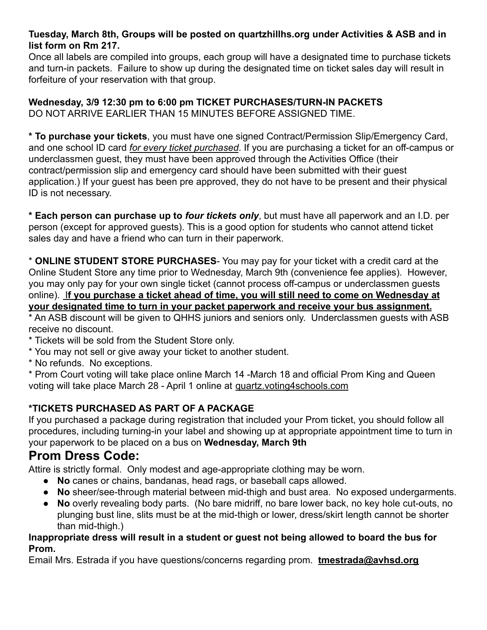### **Tuesday, March 8th, Groups will be posted on quartzhillhs.org under Activities & ASB and in list form on Rm 217.**

Once all labels are compiled into groups, each group will have a designated time to purchase tickets and turn-in packets. Failure to show up during the designated time on ticket sales day will result in forfeiture of your reservation with that group.

**Wednesday, 3/9 12:30 pm to 6:00 pm TICKET PURCHASES/TURN-IN PACKETS** DO NOT ARRIVE EARLIER THAN 15 MINUTES BEFORE ASSIGNED TIME.

**\* To purchase your tickets**, you must have one signed Contract/Permission Slip/Emergency Card, and one school ID card *for every ticket purchased*. If you are purchasing a ticket for an off-campus or underclassmen guest, they must have been approved through the Activities Office (their contract/permission slip and emergency card should have been submitted with their guest application.) If your guest has been pre approved, they do not have to be present and their physical ID is not necessary.

**\* Each person can purchase up to** *four tickets only*, but must have all paperwork and an I.D. per person (except for approved guests). This is a good option for students who cannot attend ticket sales day and have a friend who can turn in their paperwork.

\* **ONLINE STUDENT STORE PURCHASES**- You may pay for your ticket with a credit card at the Online Student Store any time prior to Wednesday, March 9th (convenience fee applies). However, you may only pay for your own single ticket (cannot process off-campus or underclassmen guests online). I**f you purchase a ticket ahead of time, you will still need to come on Wednesday at your designated time to turn in your packet paperwork and receive your bus assignment.**

\* An ASB discount will be given to QHHS juniors and seniors only. Underclassmen guests with ASB receive no discount.

- \* Tickets will be sold from the Student Store only.
- \* You may not sell or give away your ticket to another student.
- \* No refunds. No exceptions.

\* Prom Court voting will take place online March 14 -March 18 and official Prom King and Queen voting will take place March 28 - April 1 online at quartz.voting4schools.com

## **\*TICKETS PURCHASED AS PART OF A PACKAGE**

If you purchased a package during registration that included your Prom ticket, you should follow all procedures, including turning-in your label and showing up at appropriate appointment time to turn in your paperwork to be placed on a bus on **Wednesday, March 9th**

# **Prom Dress Code:**

Attire is strictly formal. Only modest and age-appropriate clothing may be worn.

- **No** canes or chains, bandanas, head rags, or baseball caps allowed.
- **No** sheer/see-through material between mid-thigh and bust area. No exposed undergarments.
- No overly revealing body parts. (No bare midriff, no bare lower back, no key hole cut-outs, no plunging bust line, slits must be at the mid-thigh or lower, dress/skirt length cannot be shorter than mid-thigh.)

#### **Inappropriate dress will result in a student or guest not being allowed to board the bus for Prom.**

Email Mrs. Estrada if you have questions/concerns regarding prom. **tmestrada@avhsd.org**